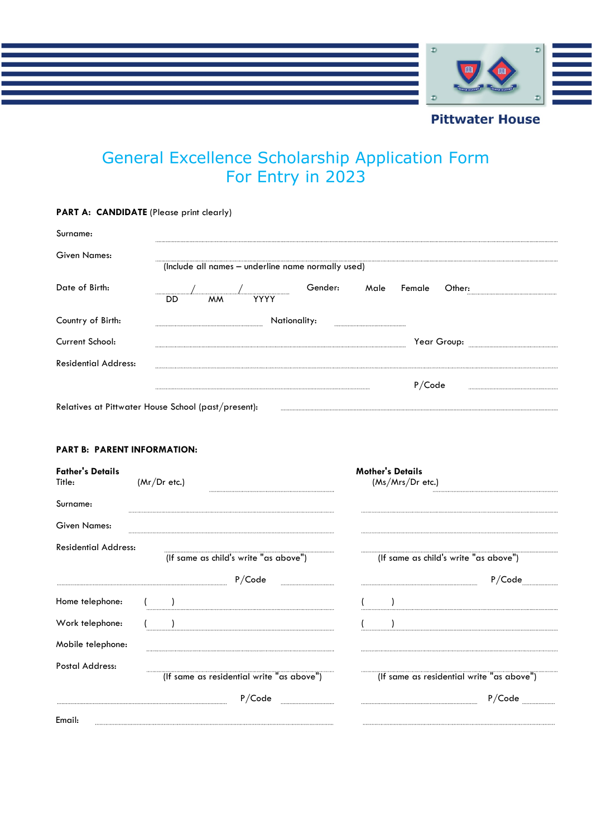

# General Excellence Scholarship Application Form For Entry in 2023

| PART A: CANDIDATE (Please print clearly)            |                  |                                                    |              |      |                  |  |
|-----------------------------------------------------|------------------|----------------------------------------------------|--------------|------|------------------|--|
| Surname:                                            |                  |                                                    |              |      |                  |  |
| Given Names:                                        |                  | (Include all names - underline name normally used) |              |      |                  |  |
| Date of Birth:                                      | DD.<br><b>MM</b> | <b>YYYY</b>                                        | Gender:      | Male | Female<br>Other: |  |
| Country of Birth:                                   |                  |                                                    | Nationality: |      |                  |  |
| Current School:                                     |                  |                                                    |              |      | Year Group:      |  |
| <b>Residential Address:</b>                         |                  |                                                    |              |      |                  |  |
|                                                     |                  |                                                    |              |      | P/Code           |  |
| Relatives at Pittwater House School (past/present): |                  |                                                    |              |      |                  |  |

## **PART B: PARENT INFORMATION:**

| <b>Father's Details</b><br>Title: | $(Mr)$ (Mr etc.)                          | <b>Mother's Details</b><br>(Ms/Mrs/Dr etc.) |
|-----------------------------------|-------------------------------------------|---------------------------------------------|
| Surname:                          |                                           |                                             |
| Given Names:                      |                                           |                                             |
| <b>Residential Address:</b>       | (If same as child's write "as above")     | (If same as child's write "as above")       |
|                                   | P/Code                                    | P/Code                                      |
| Home telephone:                   |                                           |                                             |
| Work telephone:                   |                                           |                                             |
| Mobile telephone:                 |                                           |                                             |
| Postal Address:                   |                                           |                                             |
|                                   | (If same as residential write "as above") | (If same as residential write "as above")   |
|                                   | P/Code                                    | P/Code                                      |
| Email:                            |                                           |                                             |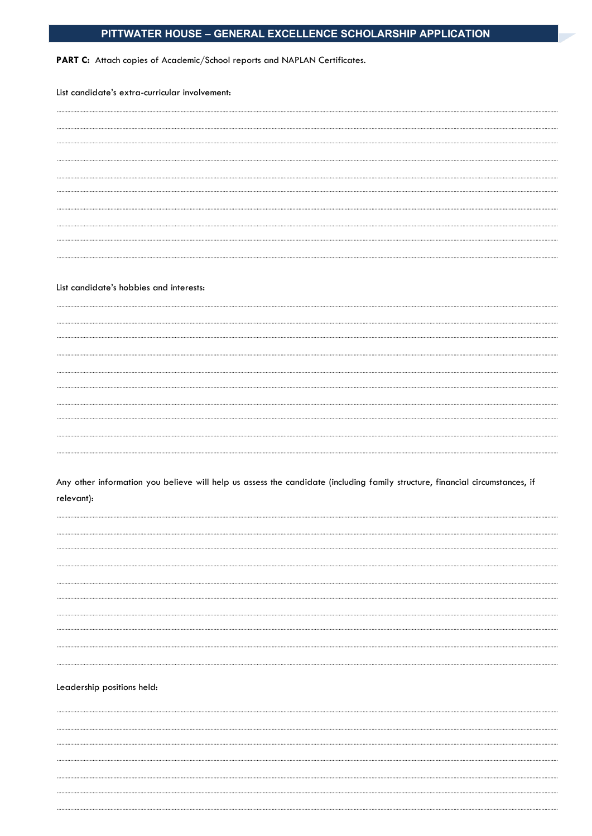# **PITTWATER HOUSE – GENERAL EXCELLENCE SCHOLARSHIP APPLICATION**

PART C: Attach copies of Academic/School reports and NAPLAN Certificates.

List candidate's extra-curricular involvement:

List candidate's hobbies and interests:

Any other information you believe will help us assess the candidate (including family structure, financial circumstances, if relevant):

Leadership positions held:

 $\ddotsc$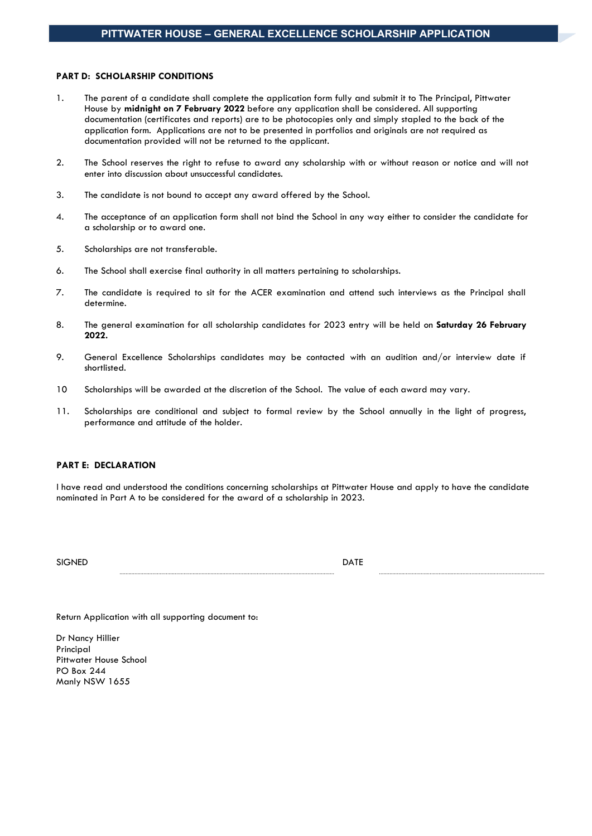#### **PART D: SCHOLARSHIP CONDITIONS**

- 1. The parent of a candidate shall complete the application form fully and submit it to The Principal, Pittwater House by **midnight on 7 February 2022** before any application shall be considered. All supporting documentation (certificates and reports) are to be photocopies only and simply stapled to the back of the application form. Applications are not to be presented in portfolios and originals are not required as documentation provided will not be returned to the applicant.
- 2. The School reserves the right to refuse to award any scholarship with or without reason or notice and will not enter into discussion about unsuccessful candidates.
- 3. The candidate is not bound to accept any award offered by the School.
- 4. The acceptance of an application form shall not bind the School in any way either to consider the candidate for a scholarship or to award one.
- 5. Scholarships are not transferable.
- 6. The School shall exercise final authority in all matters pertaining to scholarships.
- 7. The candidate is required to sit for the ACER examination and attend such interviews as the Principal shall determine.
- 8. The general examination for all scholarship candidates for 2023 entry will be held on **Saturday 26 February 2022.**
- 9. General Excellence Scholarships candidates may be contacted with an audition and/or interview date if shortlisted.
- 10 Scholarships will be awarded at the discretion of the School. The value of each award may vary.
- 11. Scholarships are conditional and subject to formal review by the School annually in the light of progress, performance and attitude of the holder.

#### **PART E: DECLARATION**

I have read and understood the conditions concerning scholarships at Pittwater House and apply to have the candidate nominated in Part A to be considered for the award of a scholarship in 2023.

SIGNED DATE

Return Application with all supporting document to:

Dr Nancy Hillier Principal Pittwater House School PO Box 244 Manly NSW 1655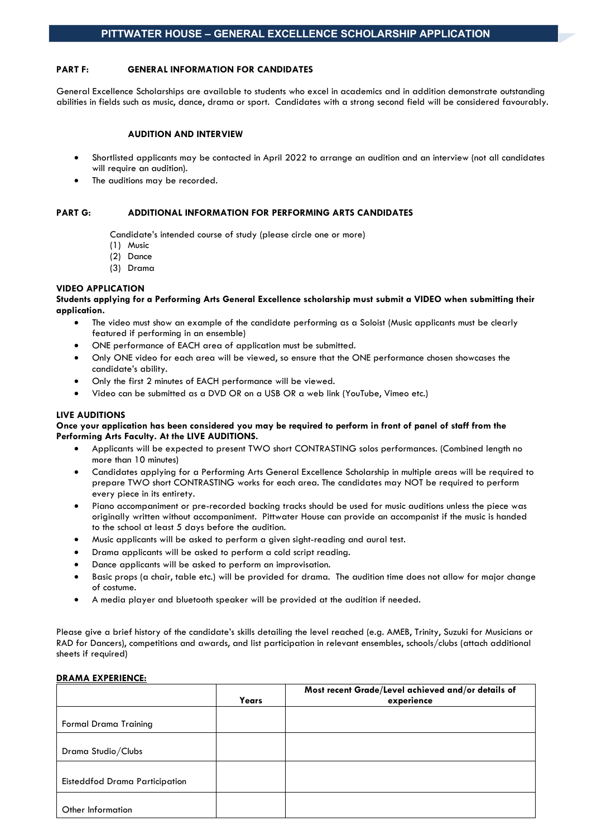## **PART F: GENERAL INFORMATION FOR CANDIDATES**

General Excellence Scholarships are available to students who excel in academics and in addition demonstrate outstanding abilities in fields such as music, dance, drama or sport. Candidates with a strong second field will be considered favourably.

#### **AUDITION AND INTERVIEW**

- Shortlisted applicants may be contacted in April 2022 to arrange an audition and an interview (not all candidates will require an audition).
- The auditions may be recorded.

#### **PART G: ADDITIONAL INFORMATION FOR PERFORMING ARTS CANDIDATES**

Candidate's intended course of study (please circle one or more)

- (1) Music
- (2) Dance
- (3) Drama

#### **VIDEO APPLICATION**

**Students applying for a Performing Arts General Excellence scholarship must submit a VIDEO when submitting their application.** 

- The video must show an example of the candidate performing as a Soloist (Music applicants must be clearly featured if performing in an ensemble)
- ONE performance of EACH area of application must be submitted.
- Only ONE video for each area will be viewed, so ensure that the ONE performance chosen showcases the candidate's ability.
- Only the first 2 minutes of EACH performance will be viewed.
- Video can be submitted as a DVD OR on a USB OR a web link (YouTube, Vimeo etc.)

## **LIVE AUDITIONS**

#### **Once your application has been considered you may be required to perform in front of panel of staff from the Performing Arts Faculty. At the LIVE AUDITIONS.**

- Applicants will be expected to present TWO short CONTRASTING solos performances. (Combined length no more than 10 minutes)
- Candidates applying for a Performing Arts General Excellence Scholarship in multiple areas will be required to prepare TWO short CONTRASTING works for each area. The candidates may NOT be required to perform every piece in its entirety.
- Piano accompaniment or pre-recorded backing tracks should be used for music auditions unless the piece was originally written without accompaniment. Pittwater House can provide an accompanist if the music is handed to the school at least 5 days before the audition.
- Music applicants will be asked to perform a given sight-reading and aural test.
- Drama applicants will be asked to perform a cold script reading.
- Dance applicants will be asked to perform an improvisation.
- Basic props (a chair, table etc.) will be provided for drama. The audition time does not allow for major change of costume.
- A media player and bluetooth speaker will be provided at the audition if needed.

Please give a brief history of the candidate's skills detailing the level reached (e.g. AMEB, Trinity, Suzuki for Musicians or RAD for Dancers), competitions and awards, and list participation in relevant ensembles, schools/clubs (attach additional sheets if required)

#### **DRAMA EXPERIENCE:**

|                                | Years | Most recent Grade/Level achieved and/or details of<br>experience |
|--------------------------------|-------|------------------------------------------------------------------|
| Formal Drama Training          |       |                                                                  |
| Drama Studio/Clubs             |       |                                                                  |
| Eisteddfod Drama Participation |       |                                                                  |
| Other Information              |       |                                                                  |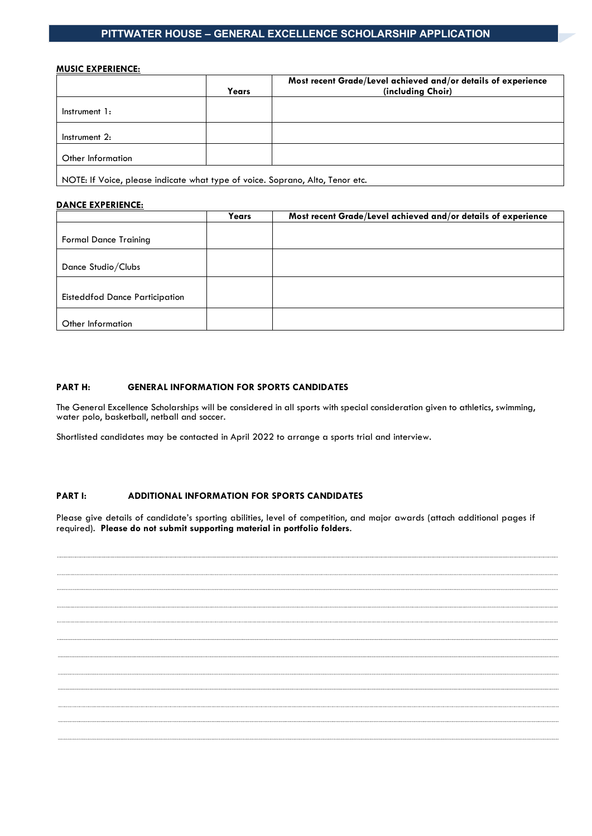# **PITTWATER HOUSE – GENERAL EXCELLENCE SCHOLARSHIP APPLICATION**

#### **MUSIC EXPERIENCE:**

|                   | Years | Most recent Grade/Level achieved and/or details of experience<br>(including Choir) |
|-------------------|-------|------------------------------------------------------------------------------------|
| Instrument 1:     |       |                                                                                    |
| Instrument 2:     |       |                                                                                    |
| Other Information |       |                                                                                    |
|                   |       |                                                                                    |

NOTE: If Voice, please indicate what type of voice. Soprano, Alto, Tenor etc.

# **DANCE EXPERIENCE:**

|                                       | Years | Most recent Grade/Level achieved and/or details of experience |
|---------------------------------------|-------|---------------------------------------------------------------|
|                                       |       |                                                               |
| <b>Formal Dance Training</b>          |       |                                                               |
|                                       |       |                                                               |
| Dance Studio/Clubs                    |       |                                                               |
|                                       |       |                                                               |
| <b>Eisteddfod Dance Participation</b> |       |                                                               |
|                                       |       |                                                               |
| Other Information                     |       |                                                               |

# **PART H: GENERAL INFORMATION FOR SPORTS CANDIDATES**

The General Excellence Scholarships will be considered in all sports with special consideration given to athletics, swimming, water polo, basketball, netball and soccer.

Shortlisted candidates may be contacted in April 2022 to arrange a sports trial and interview.

## **PART I: ADDITIONAL INFORMATION FOR SPORTS CANDIDATES**

Please give details of candidate's sporting abilities, level of competition, and major awards (attach additional pages if required). **Please do not submit supporting material in portfolio folders**.